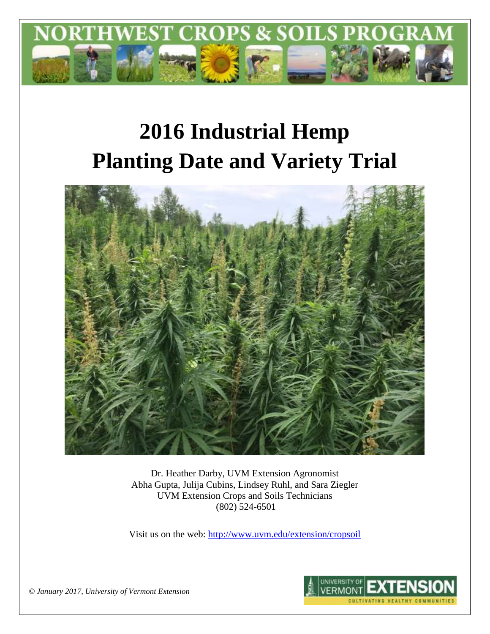

# **2016 Industrial Hemp Planting Date and Variety Trial**



Dr. Heather Darby, UVM Extension Agronomist Abha Gupta, Julija Cubins, Lindsey Ruhl, and Sara Ziegler UVM Extension Crops and Soils Technicians (802) 524-6501

Visit us on the web:<http://www.uvm.edu/extension/cropsoil>



*© January 2017, University of Vermont Extension*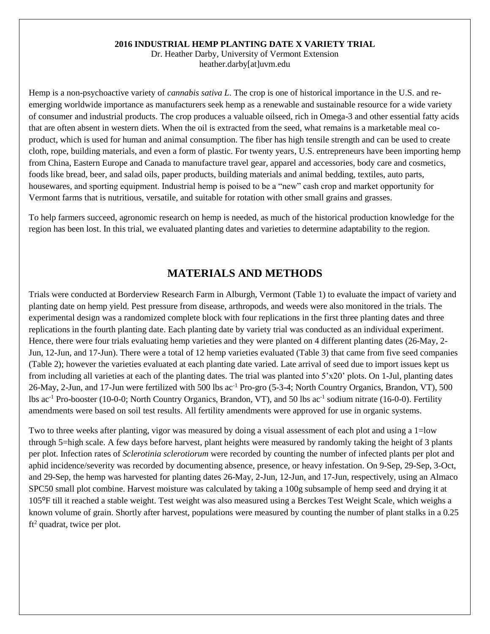#### **2016 INDUSTRIAL HEMP PLANTING DATE X VARIETY TRIAL**

Dr. Heather Darby, University of Vermont Extension heather.darby[at]uvm.edu

Hemp is a non-psychoactive variety of *cannabis sativa L*. The crop is one of historical importance in the U.S. and reemerging worldwide importance as manufacturers seek hemp as a renewable and sustainable resource for a wide variety of consumer and industrial products. The crop produces a valuable oilseed, rich in Omega-3 and other essential fatty acids that are often absent in western diets. When the oil is extracted from the seed, what remains is a marketable meal coproduct, which is used for human and animal consumption. The fiber has high tensile strength and can be used to create cloth, rope, building materials, and even a form of plastic. For twenty years, U.S. entrepreneurs have been importing hemp from China, Eastern Europe and Canada to manufacture travel gear, apparel and accessories, body care and cosmetics, foods like bread, beer, and salad oils, paper products, building materials and animal bedding, textiles, auto parts, housewares, and sporting equipment. Industrial hemp is poised to be a "new" cash crop and market opportunity for Vermont farms that is nutritious, versatile, and suitable for rotation with other small grains and grasses.

To help farmers succeed, agronomic research on hemp is needed, as much of the historical production knowledge for the region has been lost. In this trial, we evaluated planting dates and varieties to determine adaptability to the region.

## **MATERIALS AND METHODS**

Trials were conducted at Borderview Research Farm in Alburgh, Vermont (Table 1) to evaluate the impact of variety and planting date on hemp yield. Pest pressure from disease, arthropods, and weeds were also monitored in the trials. The experimental design was a randomized complete block with four replications in the first three planting dates and three replications in the fourth planting date. Each planting date by variety trial was conducted as an individual experiment. Hence, there were four trials evaluating hemp varieties and they were planted on 4 different planting dates (26-May, 2- Jun, 12-Jun, and 17-Jun). There were a total of 12 hemp varieties evaluated (Table 3) that came from five seed companies (Table 2); however the varieties evaluated at each planting date varied. Late arrival of seed due to import issues kept us from including all varieties at each of the planting dates. The trial was planted into 5'x20' plots. On 1-Jul, planting dates 26-May, 2-Jun, and 17-Jun were fertilized with 500 lbs ac-1 Pro-gro (5-3-4; North Country Organics, Brandon, VT), 500 lbs ac<sup>-1</sup> Pro-booster (10-0-0; North Country Organics, Brandon, VT), and 50 lbs ac<sup>-1</sup> sodium nitrate (16-0-0). Fertility amendments were based on soil test results. All fertility amendments were approved for use in organic systems.

Two to three weeks after planting, vigor was measured by doing a visual assessment of each plot and using a 1=low through 5=high scale. A few days before harvest, plant heights were measured by randomly taking the height of 3 plants per plot. Infection rates of *Sclerotinia sclerotiorum* were recorded by counting the number of infected plants per plot and aphid incidence/severity was recorded by documenting absence, presence, or heavy infestation. On 9-Sep, 29-Sep, 3-Oct, and 29-Sep, the hemp was harvested for planting dates 26-May, 2-Jun, 12-Jun, and 17-Jun, respectively, using an Almaco SPC50 small plot combine. Harvest moisture was calculated by taking a 100g subsample of hemp seed and drying it at 105⁰F till it reached a stable weight. Test weight was also measured using a Berckes Test Weight Scale, which weighs a known volume of grain. Shortly after harvest, populations were measured by counting the number of plant stalks in a 0.25  $ft<sup>2</sup>$  quadrat, twice per plot.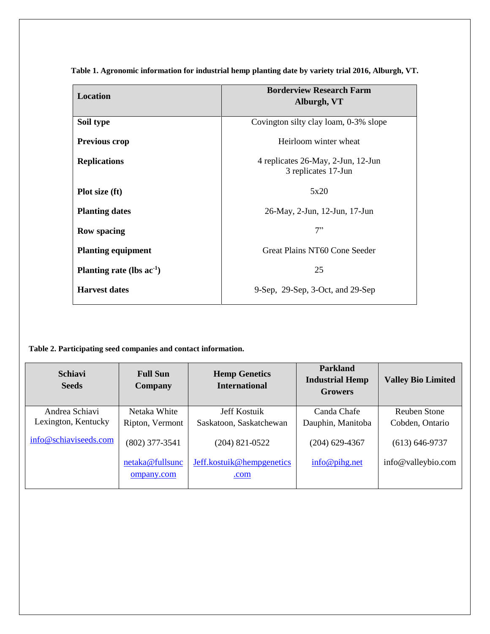| Location                       | <b>Borderview Research Farm</b>                                         |
|--------------------------------|-------------------------------------------------------------------------|
|                                | Alburgh, VT                                                             |
|                                |                                                                         |
| Soil type                      | Covington silty clay loam, 0-3% slope                                   |
|                                |                                                                         |
| <b>Previous crop</b>           | Heirloom winter wheat                                                   |
|                                |                                                                         |
| <b>Replications</b>            | 4 replicates 26-May, 2-Jun, 12-Jun                                      |
|                                | 3 replicates 17-Jun                                                     |
|                                |                                                                         |
|                                | 5x20                                                                    |
| Plot size (ft)                 |                                                                         |
| <b>Planting dates</b>          | 26-May, 2-Jun, 12-Jun, 17-Jun                                           |
|                                |                                                                         |
| <b>Row spacing</b>             | 7"                                                                      |
|                                |                                                                         |
| <b>Planting equipment</b>      | Great Plains NT60 Cone Seeder                                           |
|                                |                                                                         |
| Planting rate (lbs $ac^{-1}$ ) | 25                                                                      |
|                                |                                                                         |
| <b>Harvest dates</b>           | $9\text{-Sep}$ , $29\text{-Sep}$ , $3\text{-Oct}$ , and $29\text{-Sep}$ |
|                                |                                                                         |
|                                |                                                                         |

**Table 1. Agronomic information for industrial hemp planting date by variety trial 2016, Alburgh, VT.**

**Table 2. Participating seed companies and contact information.** 

| <b>Schiavi</b><br><b>Seeds</b> | <b>Full Sun</b><br>Company | <b>Hemp Genetics</b><br><b>International</b> | <b>Parkland</b><br><b>Industrial Hemp</b><br><b>Growers</b> | <b>Valley Bio Limited</b> |
|--------------------------------|----------------------------|----------------------------------------------|-------------------------------------------------------------|---------------------------|
| Andrea Schiavi                 | Netaka White               | Jeff Kostuik                                 | Canda Chafe                                                 | Reuben Stone              |
| Lexington, Kentucky            | Ripton, Vermont            | Saskatoon, Saskatchewan                      | Dauphin, Manitoba                                           | Cobden, Ontario           |
| info@schiaviseeds.com          | $(802)$ 377-3541           | $(204)$ 821-0522                             | $(204)$ 629-4367                                            | $(613) 646-9737$          |
|                                | netaka@fullsunc            | Jeff.kostuik@hempgenetics                    | info@pihg.net                                               | info@valleybio.com        |
|                                | ompany.com                 | .com                                         |                                                             |                           |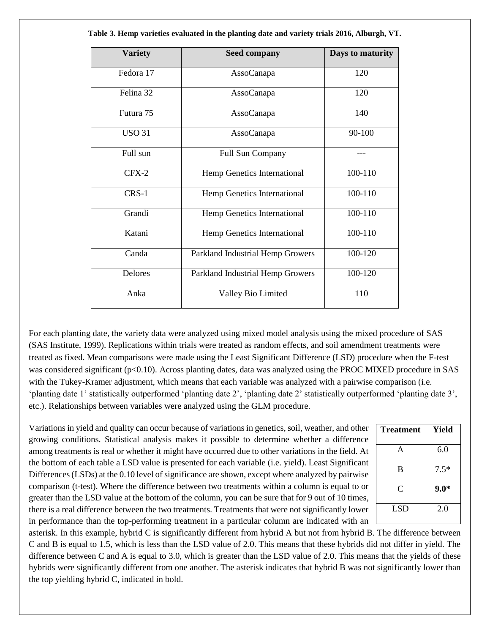| <b>Variety</b> | <b>Seed company</b>              | Days to maturity |
|----------------|----------------------------------|------------------|
| Fedora 17      | AssoCanapa                       | 120              |
| Felina 32      | AssoCanapa                       | 120              |
| Futura 75      | AssoCanapa                       | 140              |
| <b>USO 31</b>  | AssoCanapa                       | 90-100           |
| Full sun       | Full Sun Company                 |                  |
| $CFX-2$        | Hemp Genetics International      | 100-110          |
| $CRS-1$        | Hemp Genetics International      | 100-110          |
| Grandi         | Hemp Genetics International      | 100-110          |
| Katani         | Hemp Genetics International      | 100-110          |
| Canda          | Parkland Industrial Hemp Growers | 100-120          |
| Delores        | Parkland Industrial Hemp Growers | 100-120          |
| Anka           | Valley Bio Limited               | 110              |

**Table 3. Hemp varieties evaluated in the planting date and variety trials 2016, Alburgh, VT.**

For each planting date, the variety data were analyzed using mixed model analysis using the mixed procedure of SAS (SAS Institute, 1999). Replications within trials were treated as random effects, and soil amendment treatments were treated as fixed. Mean comparisons were made using the Least Significant Difference (LSD) procedure when the F-test was considered significant (p<0.10). Across planting dates, data was analyzed using the PROC MIXED procedure in SAS with the Tukey-Kramer adjustment, which means that each variable was analyzed with a pairwise comparison (i.e. 'planting date 1' statistically outperformed 'planting date 2', 'planting date 2' statistically outperformed 'planting date 3', etc.). Relationships between variables were analyzed using the GLM procedure.

Variations in yield and quality can occur because of variations in genetics, soil, weather, and other growing conditions. Statistical analysis makes it possible to determine whether a difference among treatments is real or whether it might have occurred due to other variations in the field. At the bottom of each table a LSD value is presented for each variable (i.e. yield). Least Significant Differences (LSDs) at the 0.10 level of significance are shown, except where analyzed by pairwise comparison (t-test). Where the difference between two treatments within a column is equal to or greater than the LSD value at the bottom of the column, you can be sure that for 9 out of 10 times, there is a real difference between the two treatments. Treatments that were not significantly lower in performance than the top-performing treatment in a particular column are indicated with an

| <b>Treatment</b> | Yield  |
|------------------|--------|
| A                | 6.0    |
| B                | $7.5*$ |
| C                | $9.0*$ |
| <b>LSD</b>       | 2.0    |

asterisk. In this example, hybrid C is significantly different from hybrid A but not from hybrid B. The difference between C and B is equal to 1.5, which is less than the LSD value of 2.0. This means that these hybrids did not differ in yield. The difference between C and A is equal to 3.0, which is greater than the LSD value of 2.0. This means that the yields of these hybrids were significantly different from one another. The asterisk indicates that hybrid B was not significantly lower than the top yielding hybrid C, indicated in bold.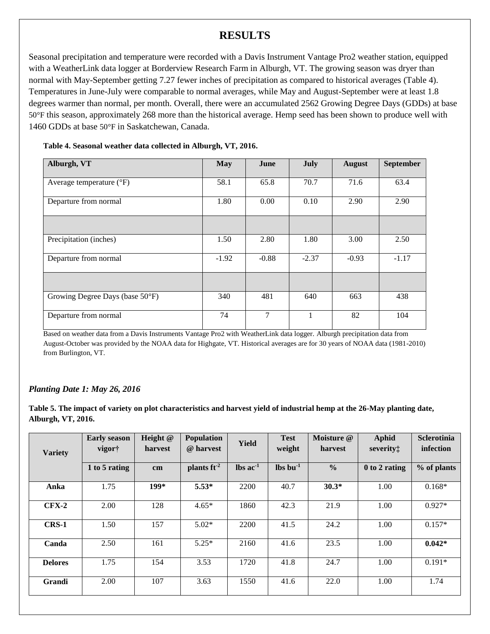# **RESULTS**

Seasonal precipitation and temperature were recorded with a Davis Instrument Vantage Pro2 weather station, equipped with a WeatherLink data logger at Borderview Research Farm in Alburgh, VT. The growing season was dryer than normal with May-September getting 7.27 fewer inches of precipitation as compared to historical averages (Table 4). Temperatures in June-July were comparable to normal averages, while May and August-September were at least 1.8 degrees warmer than normal, per month. Overall, there were an accumulated 2562 Growing Degree Days (GDDs) at base 50°F this season, approximately 268 more than the historical average. Hemp seed has been shown to produce well with 1460 GDDs at base 50°F in Saskatchewan, Canada.

| Alburgh, VT                       | <b>May</b> | June    | July    | <b>August</b> | <b>September</b> |
|-----------------------------------|------------|---------|---------|---------------|------------------|
| Average temperature $(^{\circ}F)$ | 58.1       | 65.8    | 70.7    | 71.6          | 63.4             |
| Departure from normal             | 1.80       | 0.00    | 0.10    | 2.90          | 2.90             |
|                                   |            |         |         |               |                  |
| Precipitation (inches)            | 1.50       | 2.80    | 1.80    | 3.00          | 2.50             |
| Departure from normal             | $-1.92$    | $-0.88$ | $-2.37$ | $-0.93$       | $-1.17$          |
|                                   |            |         |         |               |                  |
| Growing Degree Days (base 50°F)   | 340        | 481     | 640     | 663           | 438              |
| Departure from normal             | 74         | 7       |         | 82            | 104              |

#### **Table 4. Seasonal weather data collected in Alburgh, VT, 2016.**

Based on weather data from a Davis Instruments Vantage Pro2 with WeatherLink data logger. Alburgh precipitation data from August-October was provided by the NOAA data for Highgate, VT. Historical averages are for 30 years of NOAA data (1981-2010) from Burlington, VT.

#### *Planting Date 1: May 26, 2016*

**Table 5. The impact of variety on plot characteristics and harvest yield of industrial hemp at the 26-May planting date, Alburgh, VT, 2016.** 

| <b>Variety</b> | <b>Early season</b><br>vigor† | Height $@$<br>harvest | <b>Population</b><br>@ harvest | <b>Yield</b>                  | <b>Test</b><br>weight | Moisture @<br>harvest | <b>Aphid</b><br>severity: | <b>Sclerotinia</b><br>infection |
|----------------|-------------------------------|-----------------------|--------------------------------|-------------------------------|-----------------------|-----------------------|---------------------------|---------------------------------|
|                | 1 to 5 rating                 | cm                    | plants $ft2$                   | $\text{lbs}$ ac <sup>-1</sup> | $\ln b$ $\ln^{-1}$    | $\frac{0}{0}$         | 0 to 2 rating             | % of plants                     |
| Anka           | 1.75                          | 199*                  | $5.53*$                        | 2200                          | 40.7                  | $30.3*$               | 1.00                      | $0.168*$                        |
| $CFX-2$        | 2.00                          | 128                   | $4.65*$                        | 1860                          | 42.3                  | 21.9                  | 1.00                      | $0.927*$                        |
| $CRS-1$        | 1.50                          | 157                   | $5.02*$                        | 2200                          | 41.5                  | 24.2                  | 1.00                      | $0.157*$                        |
| Canda          | 2.50                          | 161                   | $5.25*$                        | 2160                          | 41.6                  | 23.5                  | 1.00                      | $0.042*$                        |
| <b>Delores</b> | 1.75                          | 154                   | 3.53                           | 1720                          | 41.8                  | 24.7                  | 1.00                      | $0.191*$                        |
| Grandi         | 2.00                          | 107                   | 3.63                           | 1550                          | 41.6                  | 22.0                  | 1.00                      | 1.74                            |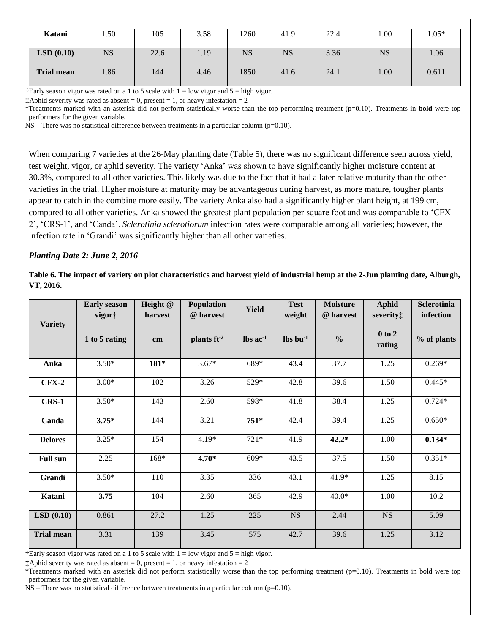| Katani            | .50       | 105  | 3.58 | 1260      | 41.9      | 22.4 | 00.1      | $1.05*$ |
|-------------------|-----------|------|------|-----------|-----------|------|-----------|---------|
| LSD(0.10)         | <b>NS</b> | 22.6 | 1.19 | <b>NS</b> | <b>NS</b> | 3.36 | <b>NS</b> | 1.06    |
| <b>Trial mean</b> | l.86      | 144  | 4.46 | 1850      | 41.6      | 24.1 | 00.1      | 0.611   |

**†**Early season vigor was rated on a 1 to 5 scale with 1 = low vigor and 5 = high vigor.

**‡**Aphid severity was rated as absent = 0, present = 1, or heavy infestation = 2

\*Treatments marked with an asterisk did not perform statistically worse than the top performing treatment (p=0.10). Treatments in **bold** were top performers for the given variable.

NS – There was no statistical difference between treatments in a particular column (p=0.10).

When comparing 7 varieties at the 26-May planting date (Table 5), there was no significant difference seen across yield, test weight, vigor, or aphid severity. The variety 'Anka' was shown to have significantly higher moisture content at 30.3%, compared to all other varieties. This likely was due to the fact that it had a later relative maturity than the other varieties in the trial. Higher moisture at maturity may be advantageous during harvest, as more mature, tougher plants appear to catch in the combine more easily. The variety Anka also had a significantly higher plant height, at 199 cm, compared to all other varieties. Anka showed the greatest plant population per square foot and was comparable to 'CFX-2', 'CRS-1', and 'Canda'. *Sclerotinia sclerotiorum* infection rates were comparable among all varieties; however, the infection rate in 'Grandi' was significantly higher than all other varieties.

#### *Planting Date 2: June 2, 2016*

**Table 6. The impact of variety on plot characteristics and harvest yield of industrial hemp at the 2-Jun planting date, Alburgh, VT, 2016.** 

| <b>Variety</b>    | <b>Early season</b><br>vigor† | Height @<br>harvest | <b>Population</b><br>@ harvest | <b>Yield</b>                  | <b>Test</b><br>weight | <b>Moisture</b><br>@ harvest | <b>Aphid</b><br>severity: | Sclerotinia<br>infection |
|-------------------|-------------------------------|---------------------|--------------------------------|-------------------------------|-----------------------|------------------------------|---------------------------|--------------------------|
|                   | 1 to 5 rating                 | cm                  | plants $ft-2$                  | $\text{lbs}$ ac <sup>-1</sup> | $\ln b$ $\ln^{-1}$    | $\frac{0}{0}$                | $0$ to $2$<br>rating      | % of plants              |
| Anka              | $3.50*$                       | 181*                | $3.67*$                        | 689*                          | 43.4                  | 37.7                         | 1.25                      | $0.269*$                 |
| $CFX-2$           | $3.00*$                       | 102                 | 3.26                           | 529*                          | 42.8                  | 39.6                         | 1.50                      | $0.445*$                 |
| $CRS-1$           | $3.50*$                       | 143                 | 2.60                           | 598*                          | 41.8                  | 38.4                         | 1.25                      | $0.724*$                 |
| Canda             | $3.75*$                       | 144                 | 3.21                           | $751*$                        | 42.4                  | 39.4                         | 1.25                      | $0.650*$                 |
| <b>Delores</b>    | $3.25*$                       | 154                 | 4.19*                          | $721*$                        | 41.9                  | $42.2*$                      | 1.00                      | $0.134*$                 |
| <b>Full sun</b>   | 2.25                          | $168*$              | $4.70*$                        | $609*$                        | 43.5                  | 37.5                         | 1.50                      | $0.351*$                 |
| Grandi            | $3.50*$                       | 110                 | 3.35                           | 336                           | 43.1                  | $41.9*$                      | 1.25                      | 8.15                     |
| Katani            | 3.75                          | 104                 | 2.60                           | 365                           | 42.9                  | $40.0*$                      | 1.00                      | 10.2                     |
| LSD(0.10)         | 0.861                         | 27.2                | 1.25                           | 225                           | <b>NS</b>             | 2.44                         | $_{\rm NS}$               | 5.09                     |
| <b>Trial mean</b> | 3.31                          | 139                 | 3.45                           | 575                           | 42.7                  | 39.6                         | 1.25                      | 3.12                     |

**†**Early season vigor was rated on a 1 to 5 scale with 1 = low vigor and 5 = high vigor.

**‡**Aphid severity was rated as absent = 0, present = 1, or heavy infestation = 2

\*Treatments marked with an asterisk did not perform statistically worse than the top performing treatment  $(p=0.10)$ . Treatments in bold were top performers for the given variable.

 $NS$  – There was no statistical difference between treatments in a particular column (p=0.10).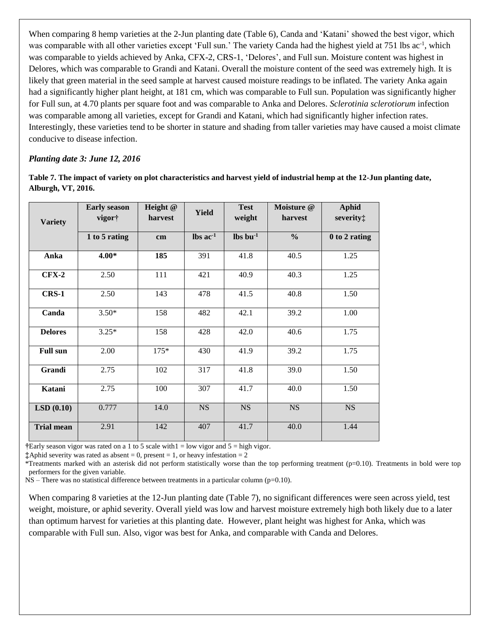When comparing 8 hemp varieties at the 2-Jun planting date (Table 6), Canda and 'Katani' showed the best vigor, which was comparable with all other varieties except 'Full sun.' The variety Canda had the highest yield at 751 lbs ac<sup>-1</sup>, which was comparable to yields achieved by Anka, CFX-2, CRS-1, 'Delores', and Full sun. Moisture content was highest in Delores, which was comparable to Grandi and Katani. Overall the moisture content of the seed was extremely high. It is likely that green material in the seed sample at harvest caused moisture readings to be inflated. The variety Anka again had a significantly higher plant height, at 181 cm, which was comparable to Full sun. Population was significantly higher for Full sun, at 4.70 plants per square foot and was comparable to Anka and Delores. *Sclerotinia sclerotiorum* infection was comparable among all varieties, except for Grandi and Katani, which had significantly higher infection rates. Interestingly, these varieties tend to be shorter in stature and shading from taller varieties may have caused a moist climate conducive to disease infection.

#### *Planting date 3: June 12, 2016*

**Table 7. The impact of variety on plot characteristics and harvest yield of industrial hemp at the 12-Jun planting date, Alburgh, VT, 2016.** 

| <b>Variety</b>    | <b>Early season</b><br>vigor† | Height @<br>harvest | <b>Yield</b>                  | <b>Test</b><br>weight          | Moisture @<br>harvest | <b>Aphid</b><br>severity: |
|-------------------|-------------------------------|---------------------|-------------------------------|--------------------------------|-----------------------|---------------------------|
|                   | 1 to 5 rating                 | cm                  | $\text{lbs}$ ac <sup>-1</sup> | $\mathbf{lbs}\mathbf{bu}^{-1}$ | $\frac{0}{0}$         | 0 to 2 rating             |
| Anka              | $4.00*$                       | 185                 | 391                           | 41.8                           | 40.5                  | 1.25                      |
| $CFX-2$           | 2.50                          | 111                 | 421                           | 40.9                           | 40.3                  | 1.25                      |
| $CRS-1$           | 2.50                          | 143                 | 478                           | 41.5                           | 40.8                  | 1.50                      |
| Canda             | $3.50*$                       | 158                 | 482                           | 42.1                           | 39.2                  | 1.00                      |
| <b>Delores</b>    | $3.25*$                       | 158                 | 428                           | 42.0                           | 40.6                  | 1.75                      |
| <b>Full sun</b>   | 2.00                          | $175*$              | 430                           | 41.9                           | 39.2                  | 1.75                      |
| Grandi            | 2.75                          | 102                 | 317                           | 41.8                           | 39.0                  | 1.50                      |
| Katani            | 2.75                          | 100                 | 307                           | 41.7                           | 40.0                  | 1.50                      |
| LSD(0.10)         | 0.777                         | 14.0                | <b>NS</b>                     | <b>NS</b>                      | <b>NS</b>             | <b>NS</b>                 |
| <b>Trial mean</b> | 2.91                          | 142                 | 407                           | 41.7                           | 40.0                  | 1.44                      |

**†**Early season vigor was rated on a 1 to 5 scale with1 = low vigor and 5 = high vigor.

**‡**Aphid severity was rated as absent = 0, present = 1, or heavy infestation = 2

\*Treatments marked with an asterisk did not perform statistically worse than the top performing treatment  $(p=0.10)$ . Treatments in bold were top performers for the given variable.

NS – There was no statistical difference between treatments in a particular column (p=0.10).

When comparing 8 varieties at the 12-Jun planting date (Table 7), no significant differences were seen across yield, test weight, moisture, or aphid severity. Overall yield was low and harvest moisture extremely high both likely due to a later than optimum harvest for varieties at this planting date. However, plant height was highest for Anka, which was comparable with Full sun. Also, vigor was best for Anka, and comparable with Canda and Delores.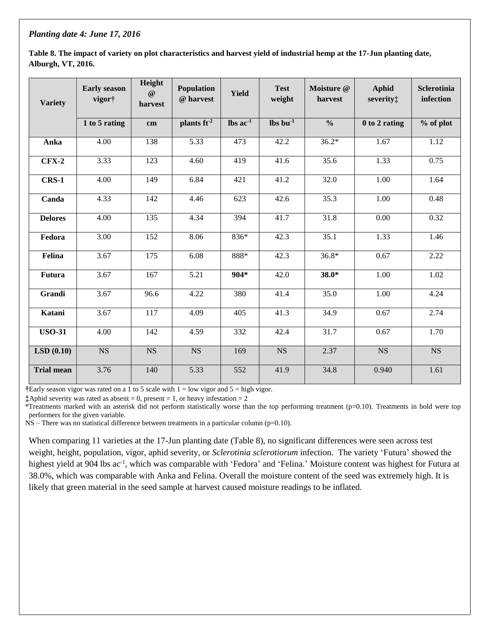#### *Planting date 4: June 17, 2016*

**Table 8. The impact of variety on plot characteristics and harvest yield of industrial hemp at the 17-Jun planting date, Alburgh, VT, 2016.** 

| <b>Variety</b>    | <b>Early season</b><br>vigor† | Height<br>$^\text{\textregistered}$<br>harvest | <b>Population</b><br>@ harvest | <b>Yield</b>                  | <b>Test</b><br>weight  | Moisture @<br>harvest | <b>Aphid</b><br>severity: | <b>Sclerotinia</b><br>infection |
|-------------------|-------------------------------|------------------------------------------------|--------------------------------|-------------------------------|------------------------|-----------------------|---------------------------|---------------------------------|
|                   | 1 to 5 rating                 | cm                                             | plants $ft^2$                  | $\text{lbs}$ ac <sup>-1</sup> | $\ln 1$                | $\frac{0}{0}$         | 0 to 2 rating             | % of plot                       |
| Anka              | 4.00                          | 138                                            | 5.33                           | 473                           | 42.2                   | $36.2*$               | 1.67                      | 1.12                            |
| $CFX-2$           | 3.33                          | 123                                            | 4.60                           | 419                           | 41.6                   | 35.6                  | 1.33                      | 0.75                            |
| <b>CRS-1</b>      | 4.00                          | 149                                            | 6.84                           | 421                           | 41.2                   | 32.0                  | 1.00                      | 1.64                            |
| Canda             | 4.33                          | 142                                            | 4.46                           | 623                           | 42.6                   | 35.3                  | 1.00                      | 0.48                            |
| <b>Delores</b>    | 4.00                          | 135                                            | 4.34                           | 394                           | 41.7                   | 31.8                  | 0.00                      | 0.32                            |
| Fedora            | 3.00                          | 152                                            | 8.06                           | 836*                          | 42.3                   | 35.1                  | 1.33                      | 1.46                            |
| Felina            | 3.67                          | 175                                            | 6.08                           | 888*                          | 42.3                   | $36.8*$               | 0.67                      | 2.22                            |
| Futura            | 3.67                          | 167                                            | 5.21                           | $904*$                        | 42.0                   | $38.0*$               | 1.00                      | 1.02                            |
| Grandi            | 3.67                          | 96.6                                           | 4.22                           | 380                           | 41.4                   | 35.0                  | 1.00                      | 4.24                            |
| Katani            | 3.67                          | 117                                            | 4.09                           | 405                           | 41.3                   | 34.9                  | 0.67                      | 2.74                            |
| <b>USO-31</b>     | 4.00                          | 142                                            | 4.59                           | 332                           | 42.4                   | 31.7                  | 0.67                      | 1.70                            |
| LSD(0.10)         | $\overline{\text{NS}}$        | $\overline{\text{NS}}$                         | $\overline{\text{NS}}$         | 169                           | $\overline{\text{NS}}$ | 2.37                  | $\overline{\text{NS}}$    | $\overline{\text{NS}}$          |
| <b>Trial mean</b> | 3.76                          | 140                                            | 5.33                           | 552                           | 41.9                   | 34.8                  | 0.940                     | 1.61                            |

**†**Early season vigor was rated on a 1 to 5 scale with 1 = low vigor and 5 = high vigor.

**‡**Aphid severity was rated as absent = 0, present = 1, or heavy infestation = 2

\*Treatments marked with an asterisk did not perform statistically worse than the top performing treatment (p=0.10). Treatments in bold were top performers for the given variable.

NS – There was no statistical difference between treatments in a particular column (p=0.10).

When comparing 11 varieties at the 17-Jun planting date (Table 8), no significant differences were seen across test weight, height, population, vigor, aphid severity, or *Sclerotinia sclerotiorum* infection. The variety 'Futura' showed the highest yield at 904 lbs ac<sup>-1</sup>, which was comparable with 'Fedora' and 'Felina.' Moisture content was highest for Futura at 38.0%, which was comparable with Anka and Felina. Overall the moisture content of the seed was extremely high. It is likely that green material in the seed sample at harvest caused moisture readings to be inflated.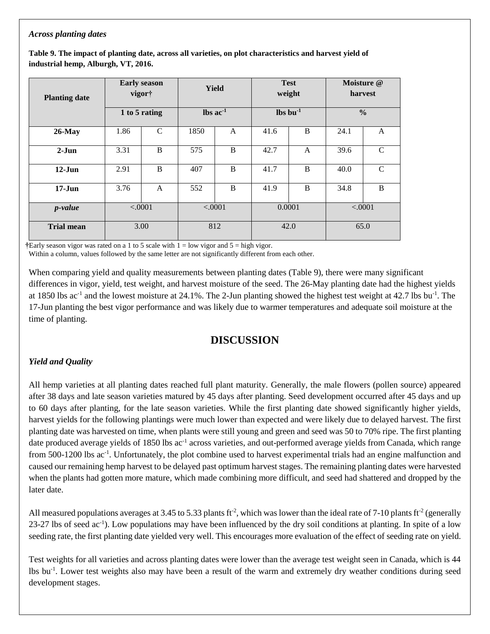#### *Across planting dates*

**Table 9. The impact of planting date, across all varieties, on plot characteristics and harvest yield of industrial hemp, Alburgh, VT, 2016.** 

| <b>Planting date</b> | <b>Early season</b><br>vigor†<br>1 to 5 rating |               | <b>Yield</b>                  |         | <b>Test</b><br>weight |        | Moisture @<br>harvest |               |  |
|----------------------|------------------------------------------------|---------------|-------------------------------|---------|-----------------------|--------|-----------------------|---------------|--|
|                      |                                                |               | $\text{lbs}$ ac <sup>-1</sup> |         | $\ln 1$               |        | $\frac{0}{0}$         |               |  |
| $26$ -May            | 1.86                                           | $\mathcal{C}$ | 1850                          | A       | 41.6                  | B      | 24.1                  | A             |  |
| $2-Jun$              | 3.31                                           | B             | 575                           | B       | 42.7                  | A      | 39.6                  | $\mathcal{C}$ |  |
| $12-Jun$             | 2.91                                           | B             | 407                           | B       | 41.7                  | B      | 40.0                  | $\mathcal{C}$ |  |
| $17 - Jun$           | 3.76                                           | $\mathsf{A}$  | 552                           | B       | 41.9                  | B      | 34.8                  | B             |  |
| <i>p</i> -value      | < .0001                                        |               |                               | < .0001 |                       | 0.0001 |                       | < .0001       |  |
| <b>Trial mean</b>    |                                                | 3.00          |                               | 812     | 42.0                  |        | 65.0                  |               |  |

**†**Early season vigor was rated on a 1 to 5 scale with 1 = low vigor and 5 = high vigor.

Within a column, values followed by the same letter are not significantly different from each other.

When comparing yield and quality measurements between planting dates (Table 9), there were many significant differences in vigor, yield, test weight, and harvest moisture of the seed. The 26-May planting date had the highest yields at 1850 lbs  $ac^{-1}$  and the lowest moisture at 24.1%. The 2-Jun planting showed the highest test weight at 42.7 lbs bu<sup>-1</sup>. The 17-Jun planting the best vigor performance and was likely due to warmer temperatures and adequate soil moisture at the time of planting.

# **DISCUSSION**

## *Yield and Quality*

All hemp varieties at all planting dates reached full plant maturity. Generally, the male flowers (pollen source) appeared after 38 days and late season varieties matured by 45 days after planting. Seed development occurred after 45 days and up to 60 days after planting, for the late season varieties. While the first planting date showed significantly higher yields, harvest yields for the following plantings were much lower than expected and were likely due to delayed harvest. The first planting date was harvested on time, when plants were still young and green and seed was 50 to 70% ripe. The first planting date produced average yields of 1850 lbs ac<sup>-1</sup> across varieties, and out-performed average yields from Canada, which range from 500-1200 lbs ac<sup>-1</sup>. Unfortunately, the plot combine used to harvest experimental trials had an engine malfunction and caused our remaining hemp harvest to be delayed past optimum harvest stages. The remaining planting dates were harvested when the plants had gotten more mature, which made combining more difficult, and seed had shattered and dropped by the later date.

All measured populations averages at 3.45 to 5.33 plants ft<sup>-2</sup>, which was lower than the ideal rate of 7-10 plants ft<sup>-2</sup> (generally 23-27 lbs of seed ac<sup>-1</sup>). Low populations may have been influenced by the dry soil conditions at planting. In spite of a low seeding rate, the first planting date yielded very well. This encourages more evaluation of the effect of seeding rate on yield.

Test weights for all varieties and across planting dates were lower than the average test weight seen in Canada, which is 44 lbs bu-1 . Lower test weights also may have been a result of the warm and extremely dry weather conditions during seed development stages.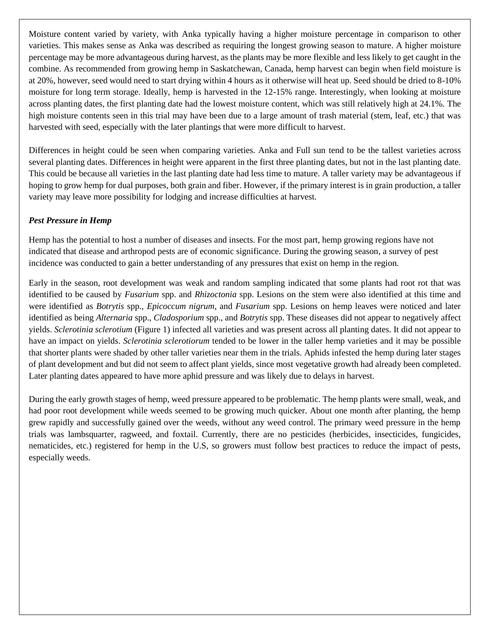Moisture content varied by variety, with Anka typically having a higher moisture percentage in comparison to other varieties. This makes sense as Anka was described as requiring the longest growing season to mature. A higher moisture percentage may be more advantageous during harvest, as the plants may be more flexible and less likely to get caught in the combine. As recommended from growing hemp in Saskatchewan, Canada, hemp harvest can begin when field moisture is at 20%, however, seed would need to start drying within 4 hours as it otherwise will heat up. Seed should be dried to 8-10% moisture for long term storage. Ideally, hemp is harvested in the 12-15% range. Interestingly, when looking at moisture across planting dates, the first planting date had the lowest moisture content, which was still relatively high at 24.1%. The high moisture contents seen in this trial may have been due to a large amount of trash material (stem, leaf, etc.) that was harvested with seed, especially with the later plantings that were more difficult to harvest.

Differences in height could be seen when comparing varieties. Anka and Full sun tend to be the tallest varieties across several planting dates. Differences in height were apparent in the first three planting dates, but not in the last planting date. This could be because all varieties in the last planting date had less time to mature. A taller variety may be advantageous if hoping to grow hemp for dual purposes, both grain and fiber. However, if the primary interest is in grain production, a taller variety may leave more possibility for lodging and increase difficulties at harvest.

### *Pest Pressure in Hemp*

Hemp has the potential to host a number of diseases and insects. For the most part, hemp growing regions have not indicated that disease and arthropod pests are of economic significance. During the growing season, a survey of pest incidence was conducted to gain a better understanding of any pressures that exist on hemp in the region.

Early in the season, root development was weak and random sampling indicated that some plants had root rot that was identified to be caused by *Fusarium* spp. and *Rhizoctonia* spp. Lesions on the stem were also identified at this time and were identified as *Botrytis* spp., *Epicoccum nigrum*, and *Fusarium* spp. Lesions on hemp leaves were noticed and later identified as being *Alternaria* spp., *Cladosporium* spp., and *Botrytis* spp. These diseases did not appear to negatively affect yields. *Sclerotinia sclerotium* (Figure 1) infected all varieties and was present across all planting dates. It did not appear to have an impact on yields. *Sclerotinia sclerotiorum* tended to be lower in the taller hemp varieties and it may be possible that shorter plants were shaded by other taller varieties near them in the trials. Aphids infested the hemp during later stages of plant development and but did not seem to affect plant yields, since most vegetative growth had already been completed. Later planting dates appeared to have more aphid pressure and was likely due to delays in harvest.

During the early growth stages of hemp, weed pressure appeared to be problematic. The hemp plants were small, weak, and had poor root development while weeds seemed to be growing much quicker. About one month after planting, the hemp grew rapidly and successfully gained over the weeds, without any weed control. The primary weed pressure in the hemp trials was lambsquarter, ragweed, and foxtail. Currently, there are no pesticides (herbicides, insecticides, fungicides, nematicides, etc.) registered for hemp in the U.S, so growers must follow best practices to reduce the impact of pests, especially weeds.